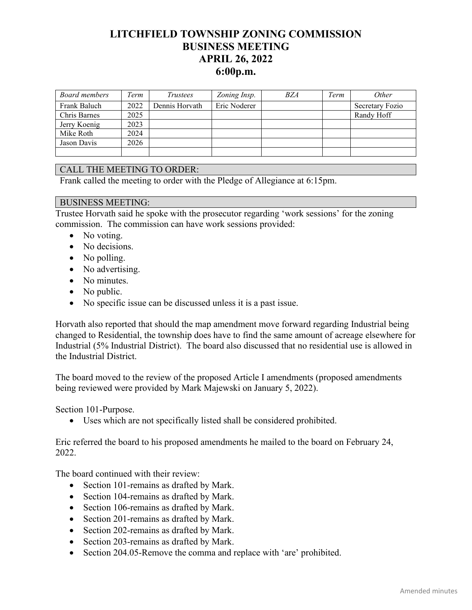## **LITCHFIELD TOWNSHIP ZONING COMMISSION BUSINESS MEETING APRIL 26, 2022 6:00p.m.**

| Board members | Term | <i>Trustees</i> | Zoning Insp. | <b>BZA</b> | Term | <i>Other</i>    |
|---------------|------|-----------------|--------------|------------|------|-----------------|
| Frank Baluch  | 2022 | Dennis Horvath  | Eric Noderer |            |      | Secretary Fozio |
| Chris Barnes  | 2025 |                 |              |            |      | Randy Hoff      |
| Jerry Koenig  | 2023 |                 |              |            |      |                 |
| Mike Roth     | 2024 |                 |              |            |      |                 |
| Jason Davis   | 2026 |                 |              |            |      |                 |
|               |      |                 |              |            |      |                 |

## CALL THE MEETING TO ORDER:

Frank called the meeting to order with the Pledge of Allegiance at 6:15pm.

## BUSINESS MEETING:

Trustee Horvath said he spoke with the prosecutor regarding 'work sessions' for the zoning commission. The commission can have work sessions provided:

- No voting.
- No decisions.
- No polling.
- No advertising.
- No minutes.
- No public.
- No specific issue can be discussed unless it is a past issue.

Horvath also reported that should the map amendment move forward regarding Industrial being changed to Residential, the township does have to find the same amount of acreage elsewhere for Industrial (5% Industrial District). The board also discussed that no residential use is allowed in the Industrial District.

The board moved to the review of the proposed Article I amendments (proposed amendments being reviewed were provided by Mark Majewski on January 5, 2022).

Section 101-Purpose.

• Uses which are not specifically listed shall be considered prohibited.

Eric referred the board to his proposed amendments he mailed to the board on February 24, 2022.

The board continued with their review:

- Section 101-remains as drafted by Mark.
- Section 104-remains as drafted by Mark.
- Section 106-remains as drafted by Mark.
- Section 201-remains as drafted by Mark.
- Section 202-remains as drafted by Mark.
- Section 203-remains as drafted by Mark.
- Section 204.05-Remove the comma and replace with 'are' prohibited.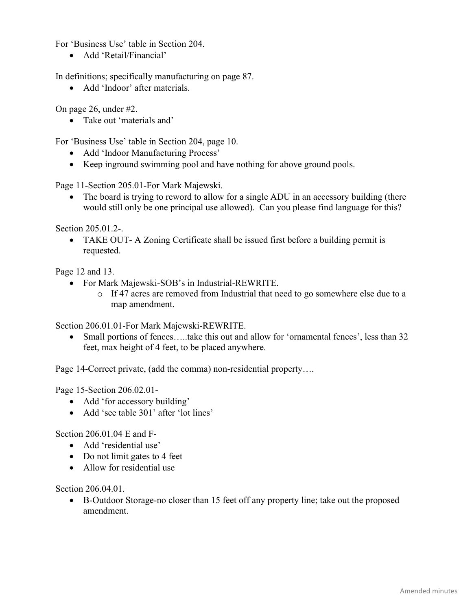For 'Business Use' table in Section 204.

• Add 'Retail/Financial'

In definitions; specifically manufacturing on page 87.

• Add 'Indoor' after materials.

On page 26, under #2.

• Take out 'materials and'

For 'Business Use' table in Section 204, page 10.

- Add 'Indoor Manufacturing Process'
- Keep inground swimming pool and have nothing for above ground pools.

Page 11-Section 205.01-For Mark Majewski.

• The board is trying to reword to allow for a single ADU in an accessory building (there would still only be one principal use allowed). Can you please find language for this?

Section 205.01.2-.

• TAKE OUT- A Zoning Certificate shall be issued first before a building permit is requested.

Page 12 and 13.

- For Mark Majewski-SOB's in Industrial-REWRITE.
	- o If 47 acres are removed from Industrial that need to go somewhere else due to a map amendment.

Section 206.01.01-For Mark Majewski-REWRITE.

• Small portions of fences…..take this out and allow for 'ornamental fences', less than 32 feet, max height of 4 feet, to be placed anywhere.

Page 14-Correct private, (add the comma) non-residential property….

Page 15-Section 206.02.01-

- Add 'for accessory building'
- Add 'see table 301' after 'lot lines'

Section 206.01.04 E and F-

- Add 'residential use'
- Do not limit gates to 4 feet
- Allow for residential use

Section 206.04.01.

• B-Outdoor Storage-no closer than 15 feet off any property line; take out the proposed amendment.